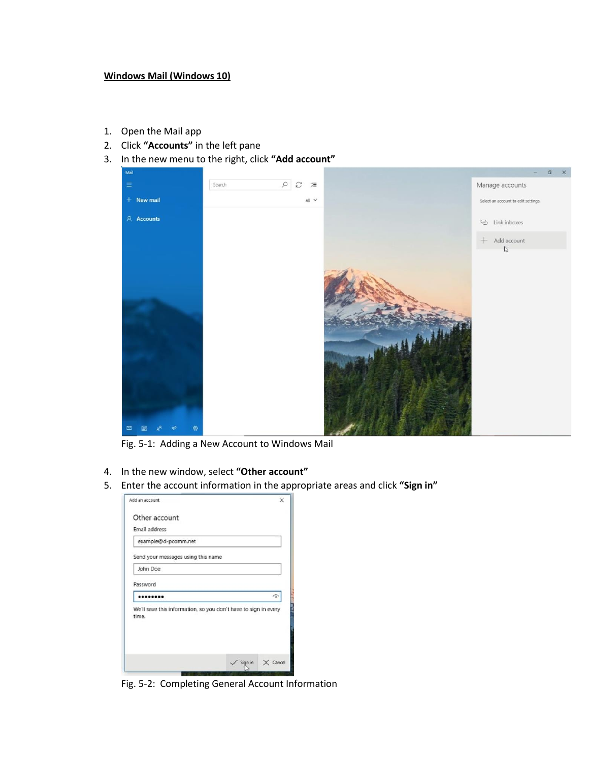## **Windows Mail (Windows 10)**

- 1. Open the Mail app
- 2. Click **"Accounts"** in the left pane
- 3. In the new menu to the right, click **"Add account"**



Fig. 5-1: Adding a New Account to Windows Mail

- 4. In the new window, select **"Other account"**
- 5. Enter the account information in the appropriate areas and click **"Sign in"**

| Add an account                                                           |                   |
|--------------------------------------------------------------------------|-------------------|
| Other account                                                            |                   |
| Email address                                                            |                   |
| example@d-pcomm.net                                                      |                   |
| Send your messages using this name                                       |                   |
| John Doe                                                                 |                   |
| Password                                                                 |                   |
|                                                                          | ó                 |
| We'll save this information, so you don't have to sign in every<br>time. |                   |
|                                                                          | Sign in<br>Cancel |

Fig. 5-2: Completing General Account Information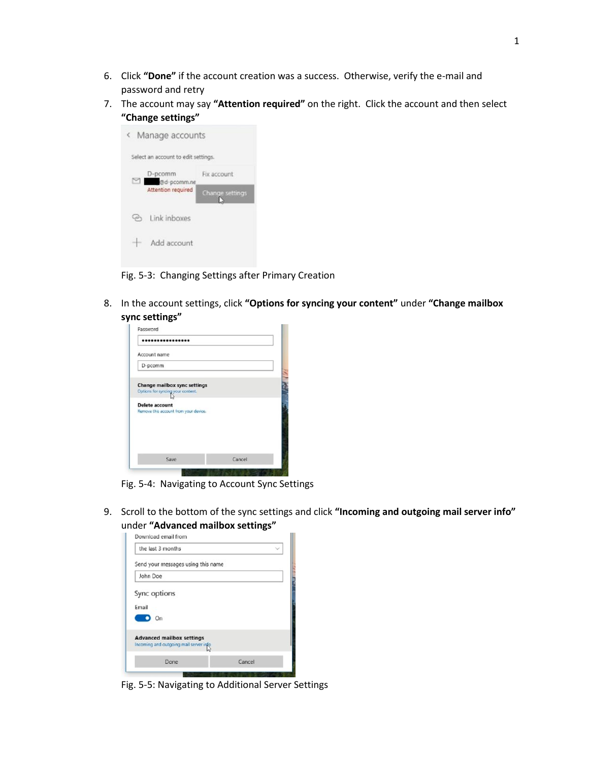- 6. Click **"Done"** if the account creation was a success. Otherwise, verify the e-mail and password and retry
- 7. The account may say **"Attention required"** on the right. Click the account and then select **"Change settings"**



Fig. 5-3: Changing Settings after Primary Creation

8. In the account settings, click **"Options for syncing your content"** under **"Change mailbox sync settings"**

| Account name                                                             |  |
|--------------------------------------------------------------------------|--|
| D-pcomm                                                                  |  |
| <b>Change mailbox sync settings</b><br>Options for syncing your content. |  |
|                                                                          |  |
| <b>Delete account</b><br>Remove this account from your device.           |  |

Fig. 5-4: Navigating to Account Sync Settings

9. Scroll to the bottom of the sync settings and click **"Incoming and outgoing mail server info"** under **"Advanced mailbox settings"**

| the last 3 months                                                          |  |
|----------------------------------------------------------------------------|--|
| Send your messages using this name                                         |  |
| John Doe                                                                   |  |
| Sync options                                                               |  |
| Email                                                                      |  |
| On                                                                         |  |
|                                                                            |  |
| <b>Advanced mailbox settings</b><br>Incoming and outgoing mail server info |  |

Fig. 5-5: Navigating to Additional Server Settings